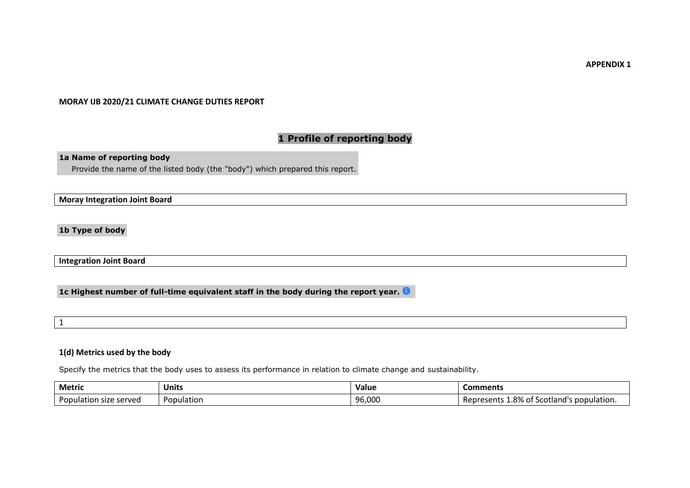**APPENDIX 1**

### **MORAY IJB 2020/21 CLIMATE CHANGE DUTIES REPORT**

# **1 Profile of reporting body**

**1a Name of reporting body**

Provide the name of the listed body (the "body") which prepared this report.

**Moray Integration Joint Board**

**1b Type of body**

**Integration Joint Board**

**1c Highest number of full-time equivalent staff in the body during the report year.**

1

## **1(d) Metrics used by the body**

Specify the metrics that the body uses to assess its performance in relation to climate change and sustainability.

| <b>Metric</b>               | Units      | Value  | Comments                                          |
|-----------------------------|------------|--------|---------------------------------------------------|
| Population<br>ı size served | Population | 96,000 | .8% of<br>" Scotland's population.<br>.∈ur∺<br>πı |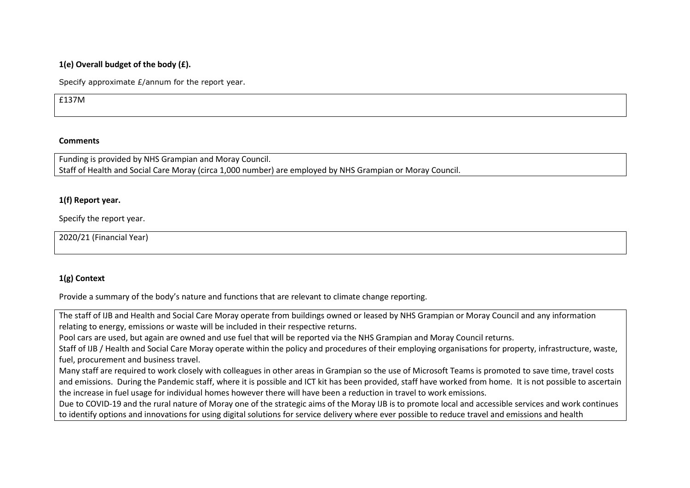# **1(e) Overall budget of the body (£).**

Specify approximate £/annum for the report year.

£137M

## **Comments**

Funding is provided by NHS Grampian and Moray Council. Staff of Health and Social Care Moray (circa 1,000 number) are employed by NHS Grampian or Moray Council.

## **1(f) Report year.**

Specify the report year.

2020/21 (Financial Year)

## **1(g) Context**

Provide a summary of the body's nature and functions that are relevant to climate change reporting.

The staff of IJB and Health and Social Care Moray operate from buildings owned or leased by NHS Grampian or Moray Council and any information relating to energy, emissions or waste will be included in their respective returns. Pool cars are used, but again are owned and use fuel that will be reported via the NHS Grampian and Moray Council returns. Staff of IJB / Health and Social Care Moray operate within the policy and procedures of their employing organisations for property, infrastructure, waste, fuel, procurement and business travel. Many staff are required to work closely with colleagues in other areas in Grampian so the use of Microsoft Teams is promoted to save time, travel costs and emissions. During the Pandemic staff, where it is possible and ICT kit has been provided, staff have worked from home. It is not possible to ascertain the increase in fuel usage for individual homes however there will have been a reduction in travel to work emissions. Due to COVID-19 and the rural nature of Moray one of the strategic aims of the Moray IJB is to promote local and accessible services and work continues to identify options and innovations for using digital solutions for service delivery where ever possible to reduce travel and emissions and health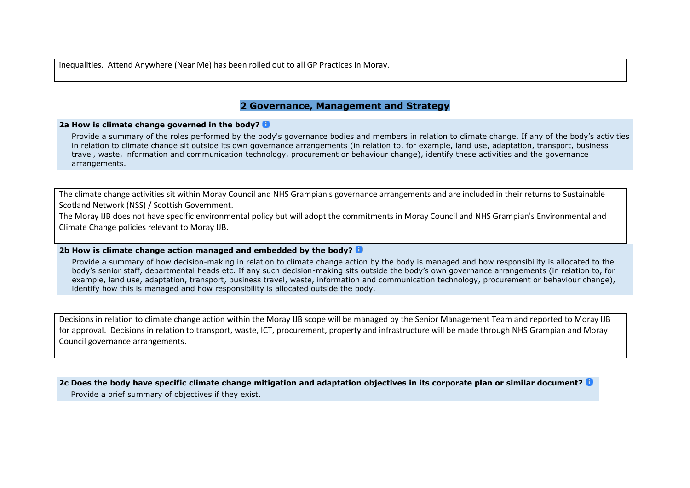inequalities. Attend Anywhere (Near Me) has been rolled out to all GP Practices in Moray.

# **2 Governance, Management and Strategy**

#### **2a How is climate change governed in the body?**

Provide a summary of the roles performed by the body's governance bodies and members in relation to climate change. If any of the body's activities in relation to climate change sit outside its own governance arrangements (in relation to, for example, land use, adaptation, transport, business travel, waste, information and communication technology, procurement or behaviour change), identify these activities and the governance arrangements.

The climate change activities sit within Moray Council and NHS Grampian's governance arrangements and are included in their returns to Sustainable Scotland Network (NSS) / Scottish Government.

The Moray IJB does not have specific environmental policy but will adopt the commitments in Moray Council and NHS Grampian's Environmental and Climate Change policies relevant to Moray IJB.

## **2b How is climate change action managed and embedded by the body?**

Provide a summary of how decision-making in relation to climate change action by the body is managed and how responsibility is allocated to the body's senior staff, departmental heads etc. If any such decision-making sits outside the body's own governance arrangements (in relation to, for example, land use, adaptation, transport, business travel, waste, information and communication technology, procurement or behaviour change), identify how this is managed and how responsibility is allocated outside the body.

Decisions in relation to climate change action within the Moray IJB scope will be managed by the Senior Management Team and reported to Moray IJB for approval. Decisions in relation to transport, waste, ICT, procurement, property and infrastructure will be made through NHS Grampian and Moray Council governance arrangements.

#### **2c Does the body have specific climate change mitigation and adaptation objectives in its corporate plan or similar document?**

Provide a brief summary of objectives if they exist.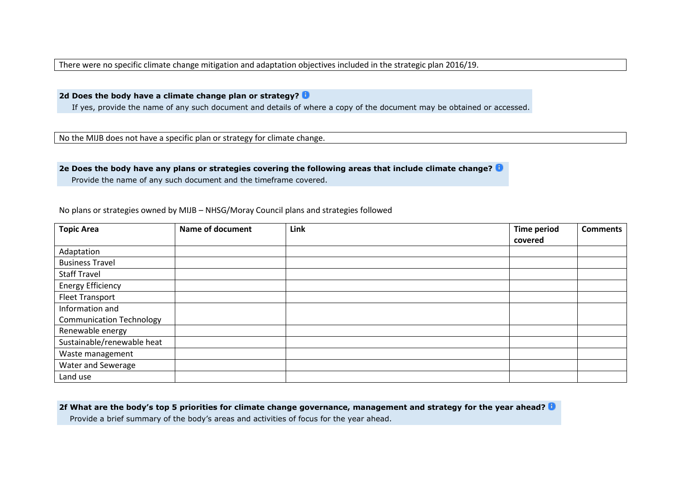There were no specific climate change mitigation and adaptation objectives included in the strategic plan 2016/19.

**2d Does the body have a climate change plan or strategy?**

If yes, provide the name of any such document and details of where a copy of the document may be obtained or accessed.

No the MIJB does not have a specific plan or strategy for climate change.

## **2e Does the body have any plans or strategies covering the following areas that include climate change?**

Provide the name of any such document and the timeframe covered.

| <b>Topic Area</b>               | <b>Name of document</b> | Link | <b>Time period</b> | <b>Comments</b> |
|---------------------------------|-------------------------|------|--------------------|-----------------|
|                                 |                         |      | covered            |                 |
| Adaptation                      |                         |      |                    |                 |
| <b>Business Travel</b>          |                         |      |                    |                 |
| <b>Staff Travel</b>             |                         |      |                    |                 |
| <b>Energy Efficiency</b>        |                         |      |                    |                 |
| <b>Fleet Transport</b>          |                         |      |                    |                 |
| Information and                 |                         |      |                    |                 |
| <b>Communication Technology</b> |                         |      |                    |                 |
| Renewable energy                |                         |      |                    |                 |
| Sustainable/renewable heat      |                         |      |                    |                 |
| Waste management                |                         |      |                    |                 |
| Water and Sewerage              |                         |      |                    |                 |
| Land use                        |                         |      |                    |                 |

No plans or strategies owned by MIJB – NHSG/Moray Council plans and strategies followed

#### **2f What are the body's top 5 priorities for climate change governance, management and strategy for the year ahead?**

Provide a brief summary of the body's areas and activities of focus for the year ahead.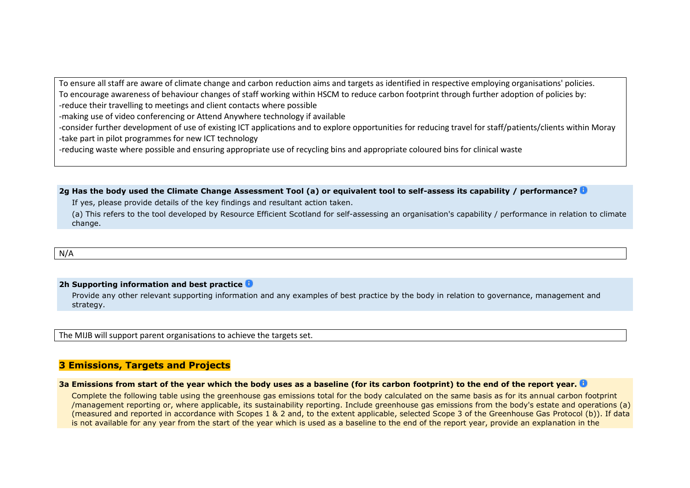To ensure all staff are aware of climate change and carbon reduction aims and targets as identified in respective employing organisations' policies. To encourage awareness of behaviour changes of staff working within HSCM to reduce carbon footprint through further adoption of policies by: -reduce their travelling to meetings and client contacts where possible

-making use of video conferencing or Attend Anywhere technology if available

-consider further development of use of existing ICT applications and to explore opportunities for reducing travel for staff/patients/clients within Moray -take part in pilot programmes for new ICT technology

-reducing waste where possible and ensuring appropriate use of recycling bins and appropriate coloured bins for clinical waste

**2g Has the body used the Climate Change Assessment Tool (a) or equivalent tool to self-assess its capability / performance?**

If yes, please provide details of the key findings and resultant action taken.

(a) This refers to the tool developed by Resource Efficient Scotland for self-assessing an organisation's capability / performance in relation to climate change.

N/A

### **2h Supporting information and best practice**

Provide any other relevant supporting information and any examples of best practice by the body in relation to governance, management and strategy.

The MIJB will support parent organisations to achieve the targets set.

# **3 Emissions, Targets and Projects**

#### **3a Emissions from start of the year which the body uses as a baseline (for its carbon footprint) to the end of the report year.**

Complete the following table using the greenhouse gas emissions total for the body calculated on the same basis as for its annual carbon footprint /management reporting or, where applicable, its sustainability reporting. Include greenhouse gas emissions from the body's estate and operations (a) (measured and reported in accordance with Scopes 1 & 2 and, to the extent applicable, selected Scope 3 of the Greenhouse Gas Protocol (b)). If data is not available for any year from the start of the year which is used as a baseline to the end of the report year, provide an explanation in the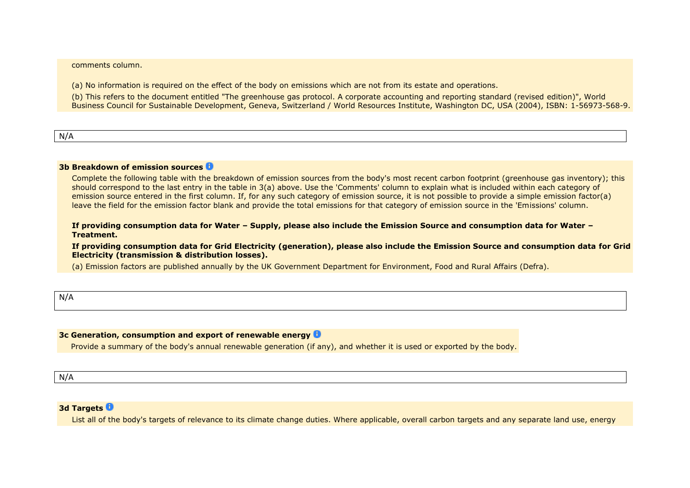comments column.

(a) No information is required on the effect of the body on emissions which are not from its estate and operations.

(b) This refers to the document entitled "The greenhouse gas protocol. A corporate accounting and reporting standard (revised edition)", World Business Council for Sustainable Development, Geneva, Switzerland / World Resources Institute, Washington DC, USA (2004), ISBN: 1-56973-568-9.

N/A

#### **3b Breakdown of emission sources**

Complete the following table with the breakdown of emission sources from the body's most recent carbon footprint (greenhouse gas inventory); this should correspond to the last entry in the table in 3(a) above. Use the 'Comments' column to explain what is included within each category of emission source entered in the first column. If, for any such category of emission source, it is not possible to provide a simple emission factor(a) leave the field for the emission factor blank and provide the total emissions for that category of emission source in the 'Emissions' column.

**If providing consumption data for Water – Supply, please also include the Emission Source and consumption data for Water – Treatment.**

**If providing consumption data for Grid Electricity (generation), please also include the Emission Source and consumption data for Grid Electricity (transmission & distribution losses).**

(a) Emission factors are published annually by the UK Government Department for Environment, Food and Rural Affairs (Defra).

N/A

#### **3c Generation, consumption and export of renewable energy**

Provide a summary of the body's annual renewable generation (if any), and whether it is used or exported by the body.

N/A

### **3d Targets**

List all of the body's targets of relevance to its climate change duties. Where applicable, overall carbon targets and any separate land use, energy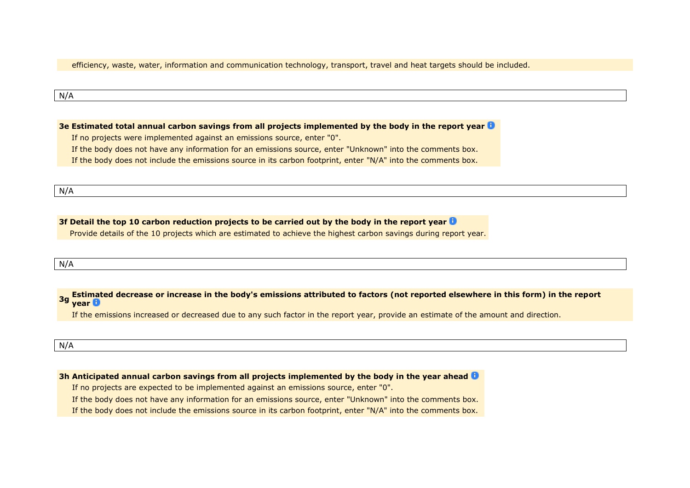efficiency, waste, water, information and communication technology, transport, travel and heat targets should be included.

#### N/A

**3e Estimated total annual carbon savings from all projects implemented by the body in the report year**

If no projects were implemented against an emissions source, enter "0".

If the body does not have any information for an emissions source, enter "Unknown" into the comments box.

If the body does not include the emissions source in its carbon footprint, enter "N/A" into the comments box.

N/A

### **3f Detail the top 10 carbon reduction projects to be carried out by the body in the report year**

Provide details of the 10 projects which are estimated to achieve the highest carbon savings during report year.

N/A

**3g Estimated decrease or increase in the body's emissions attributed to factors (not reported elsewhere in this form) in the report year**

If the emissions increased or decreased due to any such factor in the report year, provide an estimate of the amount and direction.

#### N/A

**3h Anticipated annual carbon savings from all projects implemented by the body in the year ahead**

If no projects are expected to be implemented against an emissions source, enter "0".

If the body does not have any information for an emissions source, enter "Unknown" into the comments box.

If the body does not include the emissions source in its carbon footprint, enter "N/A" into the comments box.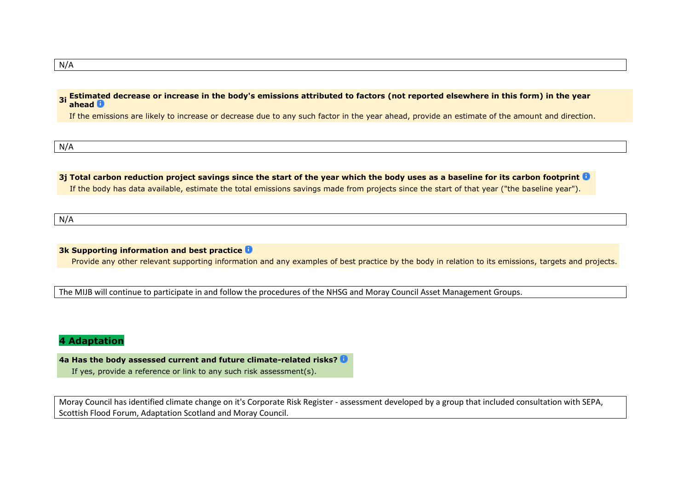#### **3i Estimated decrease or increase in the body's emissions attributed to factors (not reported elsewhere in this form) in the year ahead**

If the emissions are likely to increase or decrease due to any such factor in the year ahead, provide an estimate of the amount and direction.

N/A

## **3j Total carbon reduction project savings since the start of the year which the body uses as a baseline for its carbon footprint** If the body has data available, estimate the total emissions savings made from projects since the start of that year ("the baseline year").

N/A

## **3k Supporting information and best practice**

Provide any other relevant supporting information and any examples of best practice by the body in relation to its emissions, targets and projects.

The MIJB will continue to participate in and follow the procedures of the NHSG and Moray Council Asset Management Groups.

# **4 Adaptation**

**4a Has the body assessed current and future climate-related risks?** If yes, provide a reference or link to any such risk assessment(s).

Moray Council has identified climate change on it's Corporate Risk Register - assessment developed by a group that included consultation with SEPA, Scottish Flood Forum, Adaptation Scotland and Moray Council.

N/A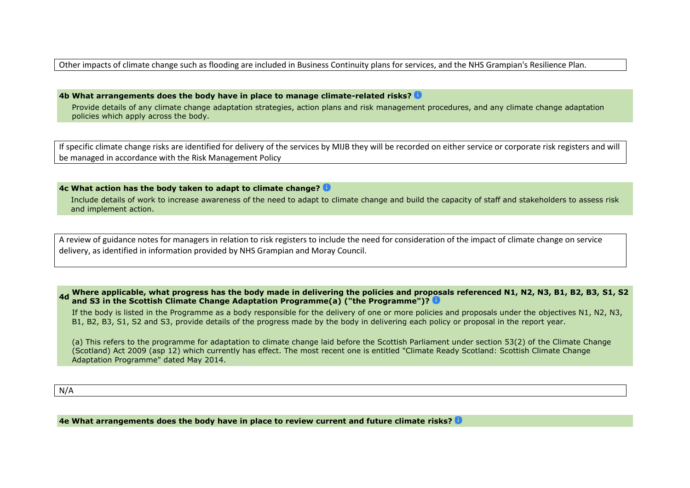Other impacts of climate change such as flooding are included in Business Continuity plans for services, and the NHS Grampian's Resilience Plan.

**4b What arrangements does the body have in place to manage climate-related risks?**

Provide details of any climate change adaptation strategies, action plans and risk management procedures, and any climate change adaptation policies which apply across the body.

If specific climate change risks are identified for delivery of the services by MIJB they will be recorded on either service or corporate risk registers and will be managed in accordance with the Risk Management Policy

### **4c What action has the body taken to adapt to climate change?**

Include details of work to increase awareness of the need to adapt to climate change and build the capacity of staff and stakeholders to assess risk and implement action.

A review of guidance notes for managers in relation to risk registers to include the need for consideration of the impact of climate change on service delivery, as identified in information provided by NHS Grampian and Moray Council.

**4d Where applicable, what progress has the body made in delivering the policies and proposals referenced N1, N2, N3, B1, B2, B3, S1, S2 and S3 in the Scottish Climate Change Adaptation Programme(a) ("the Programme")?**

If the body is listed in the Programme as a body responsible for the delivery of one or more policies and proposals under the objectives N1, N2, N3, B1, B2, B3, S1, S2 and S3, provide details of the progress made by the body in delivering each policy or proposal in the report year.

(a) This refers to the programme for adaptation to climate change laid before the Scottish Parliament under section 53(2) of the Climate Change (Scotland) Act 2009 (asp 12) which currently has effect. The most recent one is entitled "Climate Ready Scotland: Scottish Climate Change Adaptation Programme" dated May 2014.

N/A

**4e What arrangements does the body have in place to review current and future climate risks?**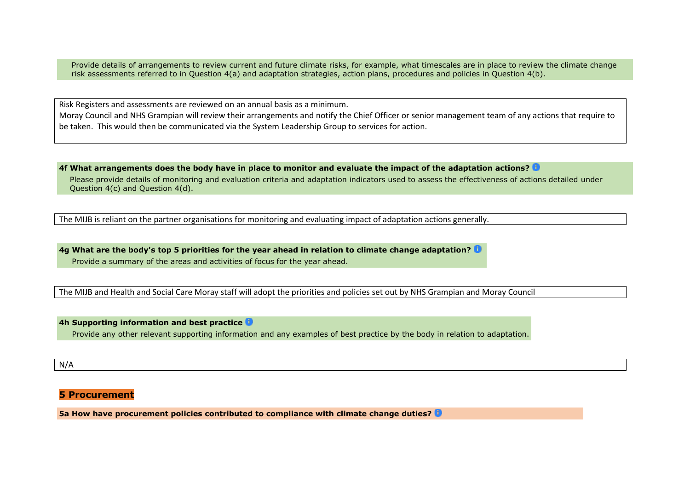Provide details of arrangements to review current and future climate risks, for example, what timescales are in place to review the climate change risk assessments referred to in Question 4(a) and adaptation strategies, action plans, procedures and policies in Question 4(b).

Risk Registers and assessments are reviewed on an annual basis as a minimum.

Moray Council and NHS Grampian will review their arrangements and notify the Chief Officer or senior management team of any actions that require to be taken. This would then be communicated via the System Leadership Group to services for action.

**4f What arrangements does the body have in place to monitor and evaluate the impact of the adaptation actions?**

Please provide details of monitoring and evaluation criteria and adaptation indicators used to assess the effectiveness of actions detailed under Question 4(c) and Question 4(d).

The MIJB is reliant on the partner organisations for monitoring and evaluating impact of adaptation actions generally.

**4g What are the body's top 5 priorities for the year ahead in relation to climate change adaptation?** Provide a summary of the areas and activities of focus for the year ahead.

The MIJB and Health and Social Care Moray staff will adopt the priorities and policies set out by NHS Grampian and Moray Council

#### **4h Supporting information and best practice**

Provide any other relevant supporting information and any examples of best practice by the body in relation to adaptation.

### N/A

# **5 Procurement**

**5a How have procurement policies contributed to compliance with climate change duties?**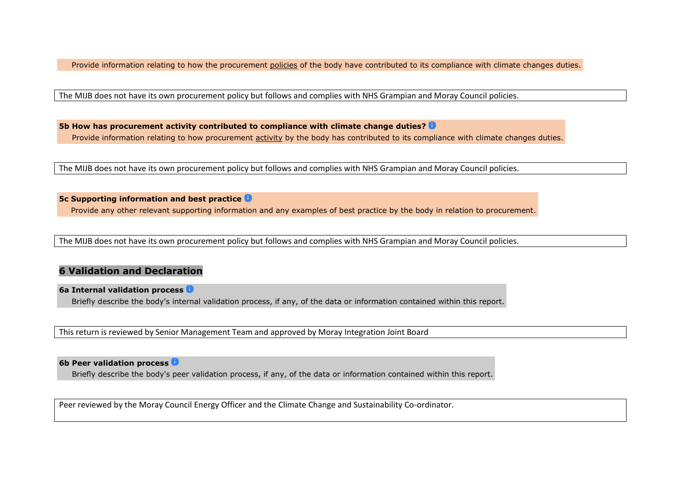Provide information relating to how the procurement policies of the body have contributed to its compliance with climate changes duties.

The MIJB does not have its own procurement policy but follows and complies with NHS Grampian and Moray Council policies.

**5b How has procurement activity contributed to compliance with climate change duties?** Provide information relating to how procurement activity by the body has contributed to its compliance with climate changes duties.

The MIJB does not have its own procurement policy but follows and complies with NHS Grampian and Moray Council policies.

## **5c Supporting information and best practice**

Provide any other relevant supporting information and any examples of best practice by the body in relation to procurement.

The MIJB does not have its own procurement policy but follows and complies with NHS Grampian and Moray Council policies.

## **6 Validation and Declaration**

#### **6a Internal validation process**

Briefly describe the body's internal validation process, if any, of the data or information contained within this report.

This return is reviewed by Senior Management Team and approved by Moray Integration Joint Board

## **6b Peer validation process**

Briefly describe the body's peer validation process, if any, of the data or information contained within this report.

Peer reviewed by the Moray Council Energy Officer and the Climate Change and Sustainability Co-ordinator.